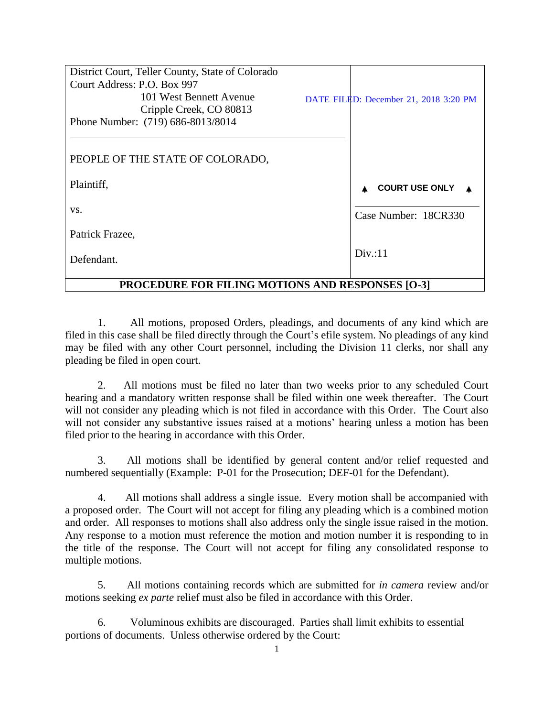| District Court, Teller County, State of Colorado        |  |                                       |
|---------------------------------------------------------|--|---------------------------------------|
| Court Address: P.O. Box 997                             |  |                                       |
| 101 West Bennett Avenue                                 |  | DATE FILED: December 21, 2018 3:20 PM |
| Cripple Creek, CO 80813                                 |  |                                       |
| Phone Number: (719) 686-8013/8014                       |  |                                       |
|                                                         |  |                                       |
|                                                         |  |                                       |
| PEOPLE OF THE STATE OF COLORADO,                        |  |                                       |
|                                                         |  |                                       |
| Plaintiff,                                              |  | <b>COURT USE ONLY</b>                 |
|                                                         |  |                                       |
| VS.                                                     |  | Case Number: 18CR330                  |
| Patrick Frazee,                                         |  |                                       |
|                                                         |  |                                       |
| Defendant.                                              |  | Div: 11                               |
|                                                         |  |                                       |
| <b>PROCEDURE FOR FILING MOTIONS AND RESPONSES [O-3]</b> |  |                                       |

1. All motions, proposed Orders, pleadings, and documents of any kind which are filed in this case shall be filed directly through the Court's efile system. No pleadings of any kind may be filed with any other Court personnel, including the Division 11 clerks, nor shall any pleading be filed in open court.

2. All motions must be filed no later than two weeks prior to any scheduled Court hearing and a mandatory written response shall be filed within one week thereafter. The Court will not consider any pleading which is not filed in accordance with this Order. The Court also will not consider any substantive issues raised at a motions' hearing unless a motion has been filed prior to the hearing in accordance with this Order.

3. All motions shall be identified by general content and/or relief requested and numbered sequentially (Example: P-01 for the Prosecution; DEF-01 for the Defendant).

4. All motions shall address a single issue. Every motion shall be accompanied with a proposed order. The Court will not accept for filing any pleading which is a combined motion and order. All responses to motions shall also address only the single issue raised in the motion. Any response to a motion must reference the motion and motion number it is responding to in the title of the response. The Court will not accept for filing any consolidated response to multiple motions.

5. All motions containing records which are submitted for *in camera* review and/or motions seeking *ex parte* relief must also be filed in accordance with this Order.

6. Voluminous exhibits are discouraged. Parties shall limit exhibits to essential portions of documents. Unless otherwise ordered by the Court: